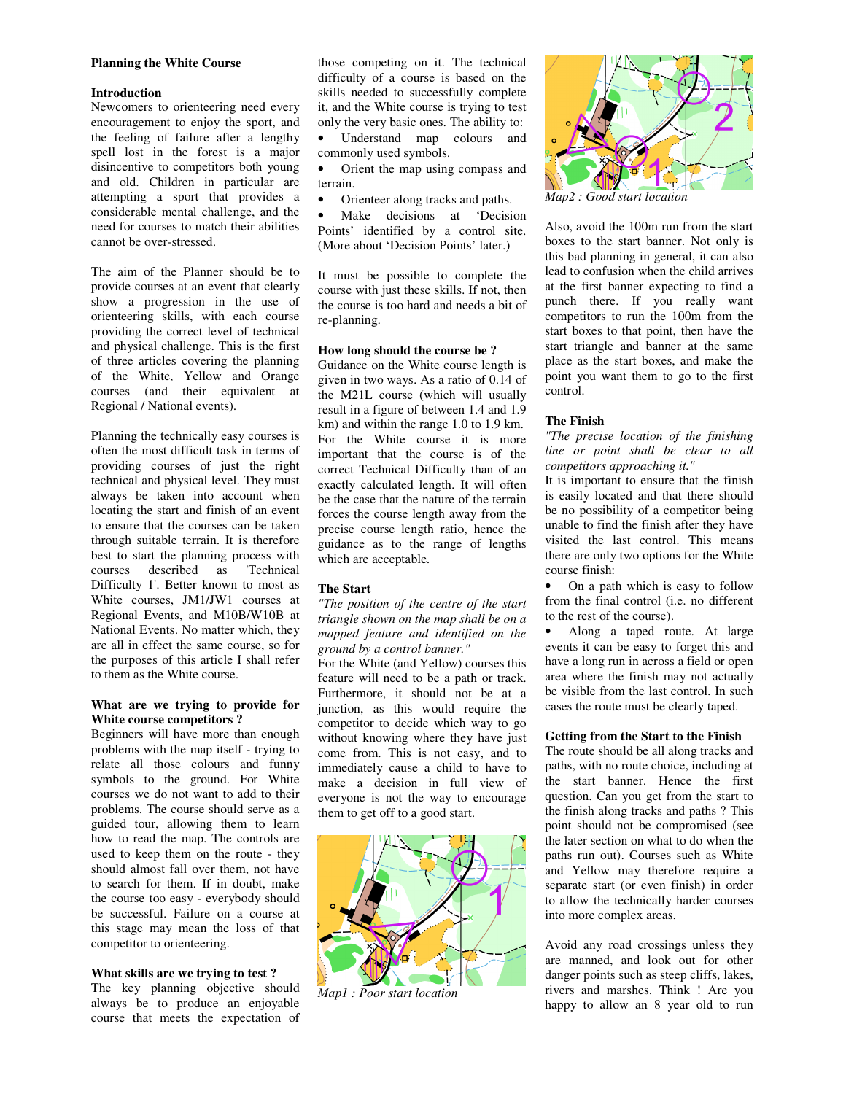#### **Planning the White Course**

#### **Introduction**

Newcomers to orienteering need every encouragement to enjoy the sport, and the feeling of failure after a lengthy spell lost in the forest is a major disincentive to competitors both young and old. Children in particular are attempting a sport that provides a considerable mental challenge, and the need for courses to match their abilities cannot be over-stressed.

The aim of the Planner should be to provide courses at an event that clearly show a progression in the use of orienteering skills, with each course providing the correct level of technical and physical challenge. This is the first of three articles covering the planning of the White, Yellow and Orange courses (and their equivalent at Regional / National events).

Planning the technically easy courses is often the most difficult task in terms of providing courses of just the right technical and physical level. They must always be taken into account when locating the start and finish of an event to ensure that the courses can be taken through suitable terrain. It is therefore best to start the planning process with courses described as 'Technical Difficulty 1'. Better known to most as White courses, JM1/JW1 courses at Regional Events, and M10B/W10B at National Events. No matter which, they are all in effect the same course, so for the purposes of this article I shall refer to them as the White course.

## **What are we trying to provide for White course competitors ?**

Beginners will have more than enough problems with the map itself - trying to relate all those colours and funny symbols to the ground. For White courses we do not want to add to their problems. The course should serve as a guided tour, allowing them to learn how to read the map. The controls are used to keep them on the route - they should almost fall over them, not have to search for them. If in doubt, make the course too easy - everybody should be successful. Failure on a course at this stage may mean the loss of that competitor to orienteering.

#### **What skills are we trying to test ?**

The key planning objective should always be to produce an enjoyable course that meets the expectation of

those competing on it. The technical difficulty of a course is based on the skills needed to successfully complete it, and the White course is trying to test only the very basic ones. The ability to: • Understand map colours and

- commonly used symbols.
- Orient the map using compass and terrain.
- Orienteer along tracks and paths.

Make decisions at 'Decision Points' identified by a control site. (More about 'Decision Points' later.)

It must be possible to complete the course with just these skills. If not, then the course is too hard and needs a bit of re-planning.

## **How long should the course be ?**

Guidance on the White course length is given in two ways. As a ratio of 0.14 of the M21L course (which will usually result in a figure of between 1.4 and 1.9 km) and within the range 1.0 to 1.9 km. For the White course it is more important that the course is of the correct Technical Difficulty than of an exactly calculated length. It will often be the case that the nature of the terrain forces the course length away from the precise course length ratio, hence the guidance as to the range of lengths which are acceptable.

#### **The Start**

*"The position of the centre of the start triangle shown on the map shall be on a mapped feature and identified on the ground by a control banner."*

For the White (and Yellow) courses this feature will need to be a path or track. Furthermore, it should not be at a junction, as this would require the competitor to decide which way to go without knowing where they have just come from. This is not easy, and to immediately cause a child to have to make a decision in full view of everyone is not the way to encourage them to get off to a good start.



*Map1 : Poor start location* 



*Map2 : Good start location* 

Also, avoid the 100m run from the start boxes to the start banner. Not only is this bad planning in general, it can also lead to confusion when the child arrives at the first banner expecting to find a punch there. If you really want competitors to run the 100m from the start boxes to that point, then have the start triangle and banner at the same place as the start boxes, and make the point you want them to go to the first control.

# **The Finish**

*"The precise location of the finishing line or point shall be clear to all competitors approaching it."* 

It is important to ensure that the finish is easily located and that there should be no possibility of a competitor being unable to find the finish after they have visited the last control. This means there are only two options for the White course finish:

• On a path which is easy to follow from the final control (i.e. no different to the rest of the course).

• Along a taped route. At large events it can be easy to forget this and have a long run in across a field or open area where the finish may not actually be visible from the last control. In such cases the route must be clearly taped.

#### **Getting from the Start to the Finish**

The route should be all along tracks and paths, with no route choice, including at the start banner. Hence the first question. Can you get from the start to the finish along tracks and paths ? This point should not be compromised (see the later section on what to do when the paths run out). Courses such as White and Yellow may therefore require a separate start (or even finish) in order to allow the technically harder courses into more complex areas.

Avoid any road crossings unless they are manned, and look out for other danger points such as steep cliffs, lakes, rivers and marshes. Think ! Are you happy to allow an 8 year old to run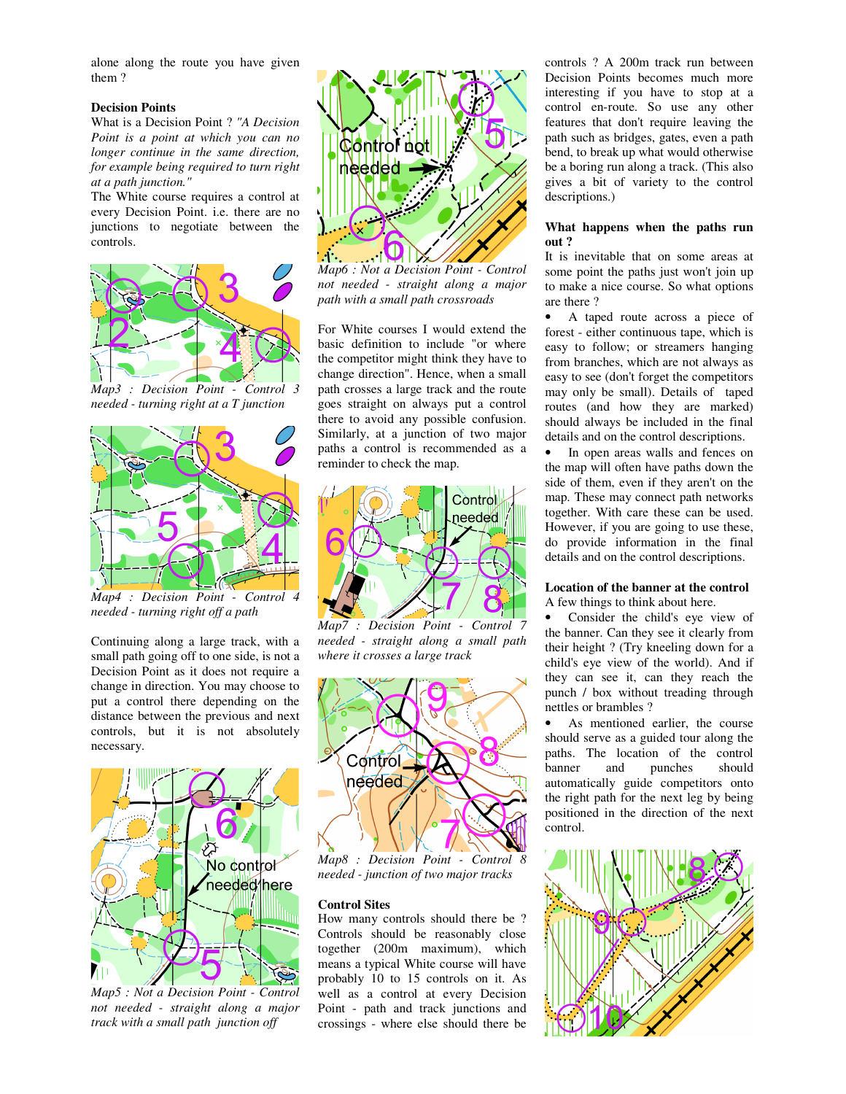alone along the route you have given them ?

## **Decision Points**

What is a Decision Point ? *"A Decision Point is a point at which you can no longer continue in the same direction, for example being required to turn right at a path junction."*

The White course requires a control at every Decision Point. i.e. there are no junctions to negotiate between the controls.



*Map3 : Decision Point - Control 3 needed - turning right at a T junction* 



*Map4 : Decision Point - Control 4 needed - turning right off a path*

Continuing along a large track, with a small path going off to one side, is not a Decision Point as it does not require a change in direction. You may choose to put a control there depending on the distance between the previous and next controls, but it is not absolutely necessary.



*Map5 : Not a Decision Point - Control not needed - straight along a major track with a small path junction off* 



*Map6 : Not a Decision Point - Control not needed - straight along a major path with a small path crossroads*

For White courses I would extend the basic definition to include "or where the competitor might think they have to change direction". Hence, when a small path crosses a large track and the route goes straight on always put a control there to avoid any possible confusion. Similarly, at a junction of two major paths a control is recommended as a reminder to check the map.



*Map7 : Decision Point - Control 7 needed - straight along a small path where it crosses a large track* 



*Map8 : Decision Point - Control 8 needed - junction of two major tracks*

#### **Control Sites**

How many controls should there be ? Controls should be reasonably close together (200m maximum), which means a typical White course will have probably 10 to 15 controls on it. As well as a control at every Decision Point - path and track junctions and crossings - where else should there be

controls ? A 200m track run between Decision Points becomes much more interesting if you have to stop at a control en-route. So use any other features that don't require leaving the path such as bridges, gates, even a path bend, to break up what would otherwise be a boring run along a track. (This also gives a bit of variety to the control descriptions.)

#### **What happens when the paths run out ?**

It is inevitable that on some areas at some point the paths just won't join up to make a nice course. So what options are there ?

• A taped route across a piece of forest - either continuous tape, which is easy to follow; or streamers hanging from branches, which are not always as easy to see (don't forget the competitors may only be small). Details of taped routes (and how they are marked) should always be included in the final details and on the control descriptions.

In open areas walls and fences on the map will often have paths down the side of them, even if they aren't on the map. These may connect path networks together. With care these can be used. However, if you are going to use these, do provide information in the final details and on the control descriptions.

#### **Location of the banner at the control** A few things to think about here.

• Consider the child's eye view of the banner. Can they see it clearly from their height ? (Try kneeling down for a child's eye view of the world). And if they can see it, can they reach the punch / box without treading through nettles or brambles ?

• As mentioned earlier, the course should serve as a guided tour along the paths. The location of the control banner and punches should automatically guide competitors onto the right path for the next leg by being positioned in the direction of the next control.